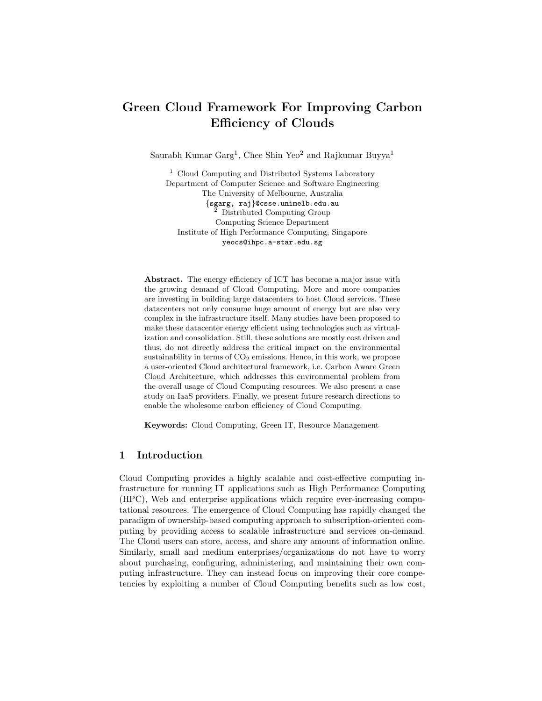# Green Cloud Framework For Improving Carbon Efficiency of Clouds

Saurabh Kumar Garg<sup>1</sup>, Chee Shin Yeo<sup>2</sup> and Rajkumar Buyya<sup>1</sup>

 $^{\rm 1}$  Cloud Computing and Distributed Systems Laboratory Department of Computer Science and Software Engineering The University of Melbourne, Australia {sgarg, raj}@csse.unimelb.edu.au <sup>2</sup> Distributed Computing Group Computing Science Department Institute of High Performance Computing, Singapore yeocs@ihpc.a-star.edu.sg

Abstract. The energy efficiency of ICT has become a major issue with the growing demand of Cloud Computing. More and more companies are investing in building large datacenters to host Cloud services. These datacenters not only consume huge amount of energy but are also very complex in the infrastructure itself. Many studies have been proposed to make these datacenter energy efficient using technologies such as virtualization and consolidation. Still, these solutions are mostly cost driven and thus, do not directly address the critical impact on the environmental sustainability in terms of  $CO<sub>2</sub>$  emissions. Hence, in this work, we propose a user-oriented Cloud architectural framework, i.e. Carbon Aware Green Cloud Architecture, which addresses this environmental problem from the overall usage of Cloud Computing resources. We also present a case study on IaaS providers. Finally, we present future research directions to enable the wholesome carbon efficiency of Cloud Computing.

Keywords: Cloud Computing, Green IT, Resource Management

## 1 Introduction

Cloud Computing provides a highly scalable and cost-effective computing infrastructure for running IT applications such as High Performance Computing (HPC), Web and enterprise applications which require ever-increasing computational resources. The emergence of Cloud Computing has rapidly changed the paradigm of ownership-based computing approach to subscription-oriented computing by providing access to scalable infrastructure and services on-demand. The Cloud users can store, access, and share any amount of information online. Similarly, small and medium enterprises/organizations do not have to worry about purchasing, configuring, administering, and maintaining their own computing infrastructure. They can instead focus on improving their core competencies by exploiting a number of Cloud Computing benefits such as low cost,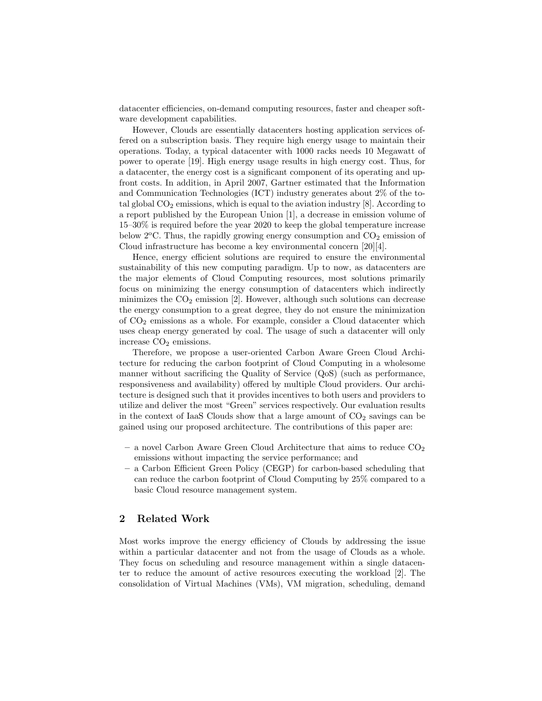datacenter efficiencies, on-demand computing resources, faster and cheaper software development capabilities.

However, Clouds are essentially datacenters hosting application services offered on a subscription basis. They require high energy usage to maintain their operations. Today, a typical datacenter with 1000 racks needs 10 Megawatt of power to operate [19]. High energy usage results in high energy cost. Thus, for a datacenter, the energy cost is a significant component of its operating and upfront costs. In addition, in April 2007, Gartner estimated that the Information and Communication Technologies (ICT) industry generates about 2% of the total global  $CO<sub>2</sub>$  emissions, which is equal to the aviation industry [8]. According to a report published by the European Union [1], a decrease in emission volume of 15–30% is required before the year 2020 to keep the global temperature increase below  $2^{\circ}$ C. Thus, the rapidly growing energy consumption and  $CO_2$  emission of Cloud infrastructure has become a key environmental concern [20][4].

Hence, energy efficient solutions are required to ensure the environmental sustainability of this new computing paradigm. Up to now, as datacenters are the major elements of Cloud Computing resources, most solutions primarily focus on minimizing the energy consumption of datacenters which indirectly minimizes the  $CO<sub>2</sub>$  emission [2]. However, although such solutions can decrease the energy consumption to a great degree, they do not ensure the minimization of CO<sup>2</sup> emissions as a whole. For example, consider a Cloud datacenter which uses cheap energy generated by coal. The usage of such a datacenter will only increase  $CO<sub>2</sub>$  emissions.

Therefore, we propose a user-oriented Carbon Aware Green Cloud Architecture for reducing the carbon footprint of Cloud Computing in a wholesome manner without sacrificing the Quality of Service (QoS) (such as performance, responsiveness and availability) offered by multiple Cloud providers. Our architecture is designed such that it provides incentives to both users and providers to utilize and deliver the most "Green" services respectively. Our evaluation results in the context of IaaS Clouds show that a large amount of  $CO<sub>2</sub>$  savings can be gained using our proposed architecture. The contributions of this paper are:

- a novel Carbon Aware Green Cloud Architecture that aims to reduce  $CO<sub>2</sub>$ emissions without impacting the service performance; and
- a Carbon Efficient Green Policy (CEGP) for carbon-based scheduling that can reduce the carbon footprint of Cloud Computing by 25% compared to a basic Cloud resource management system.

## 2 Related Work

Most works improve the energy efficiency of Clouds by addressing the issue within a particular datacenter and not from the usage of Clouds as a whole. They focus on scheduling and resource management within a single datacenter to reduce the amount of active resources executing the workload [2]. The consolidation of Virtual Machines (VMs), VM migration, scheduling, demand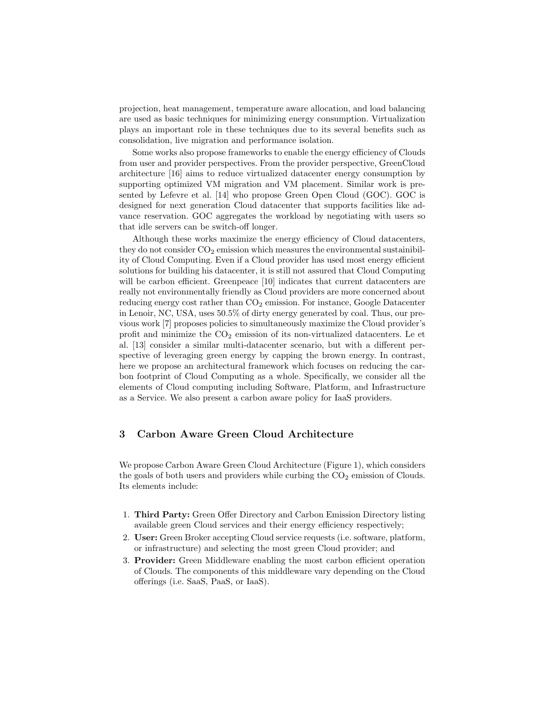projection, heat management, temperature aware allocation, and load balancing are used as basic techniques for minimizing energy consumption. Virtualization plays an important role in these techniques due to its several benefits such as consolidation, live migration and performance isolation.

Some works also propose frameworks to enable the energy efficiency of Clouds from user and provider perspectives. From the provider perspective, GreenCloud architecture [16] aims to reduce virtualized datacenter energy consumption by supporting optimized VM migration and VM placement. Similar work is presented by Lefevre et al. [14] who propose Green Open Cloud (GOC). GOC is designed for next generation Cloud datacenter that supports facilities like advance reservation. GOC aggregates the workload by negotiating with users so that idle servers can be switch-off longer.

Although these works maximize the energy efficiency of Cloud datacenters, they do not consider  $CO<sub>2</sub>$  emission which measures the environmental sustainibility of Cloud Computing. Even if a Cloud provider has used most energy efficient solutions for building his datacenter, it is still not assured that Cloud Computing will be carbon efficient. Greenpeace [10] indicates that current datacenters are really not environmentally friendly as Cloud providers are more concerned about reducing energy cost rather than  $CO<sub>2</sub>$  emission. For instance, Google Datacenter in Lenoir, NC, USA, uses 50.5% of dirty energy generated by coal. Thus, our previous work [7] proposes policies to simultaneously maximize the Cloud provider's profit and minimize the  $CO<sub>2</sub>$  emission of its non-virtualized datacenters. Le et al. [13] consider a similar multi-datacenter scenario, but with a different perspective of leveraging green energy by capping the brown energy. In contrast, here we propose an architectural framework which focuses on reducing the carbon footprint of Cloud Computing as a whole. Specifically, we consider all the elements of Cloud computing including Software, Platform, and Infrastructure as a Service. We also present a carbon aware policy for IaaS providers.

## 3 Carbon Aware Green Cloud Architecture

We propose Carbon Aware Green Cloud Architecture (Figure 1), which considers the goals of both users and providers while curbing the  $CO<sub>2</sub>$  emission of Clouds. Its elements include:

- 1. Third Party: Green Offer Directory and Carbon Emission Directory listing available green Cloud services and their energy efficiency respectively;
- 2. User: Green Broker accepting Cloud service requests (i.e. software, platform, or infrastructure) and selecting the most green Cloud provider; and
- 3. Provider: Green Middleware enabling the most carbon efficient operation of Clouds. The components of this middleware vary depending on the Cloud offerings (i.e. SaaS, PaaS, or IaaS).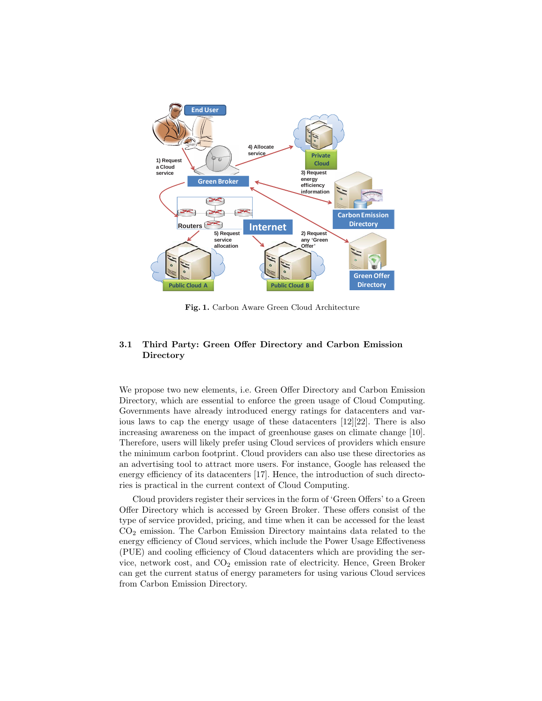

Fig. 1. Carbon Aware Green Cloud Architecture

#### 3.1 Third Party: Green Offer Directory and Carbon Emission **Directory**

We propose two new elements, i.e. Green Offer Directory and Carbon Emission Directory, which are essential to enforce the green usage of Cloud Computing. Governments have already introduced energy ratings for datacenters and various laws to cap the energy usage of these datacenters [12][22]. There is also increasing awareness on the impact of greenhouse gases on climate change [10]. Therefore, users will likely prefer using Cloud services of providers which ensure the minimum carbon footprint. Cloud providers can also use these directories as an advertising tool to attract more users. For instance, Google has released the energy efficiency of its datacenters [17]. Hence, the introduction of such directories is practical in the current context of Cloud Computing.

Cloud providers register their services in the form of 'Green Offers' to a Green Offer Directory which is accessed by Green Broker. These offers consist of the type of service provided, pricing, and time when it can be accessed for the least  $CO<sub>2</sub>$  emission. The Carbon Emission Directory maintains data related to the energy efficiency of Cloud services, which include the Power Usage Effectiveness (PUE) and cooling efficiency of Cloud datacenters which are providing the service, network cost, and  $CO<sub>2</sub>$  emission rate of electricity. Hence, Green Broker can get the current status of energy parameters for using various Cloud services from Carbon Emission Directory.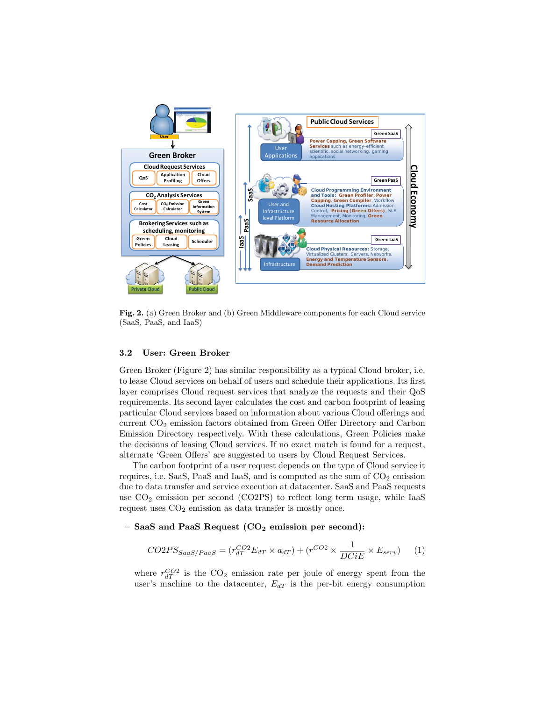

Fig. 2. (a) Green Broker and (b) Green Middleware components for each Cloud service (SaaS, PaaS, and IaaS)

#### 3.2 User: Green Broker

Green Broker (Figure 2) has similar responsibility as a typical Cloud broker, i.e. to lease Cloud services on behalf of users and schedule their applications. Its first layer comprises Cloud request services that analyze the requests and their QoS requirements. Its second layer calculates the cost and carbon footprint of leasing particular Cloud services based on information about various Cloud offerings and current CO<sup>2</sup> emission factors obtained from Green Offer Directory and Carbon Emission Directory respectively. With these calculations, Green Policies make the decisions of leasing Cloud services. If no exact match is found for a request, alternate 'Green Offers' are suggested to users by Cloud Request Services.

The carbon footprint of a user request depends on the type of Cloud service it requires, i.e. SaaS, PaaS and IaaS, and is computed as the sum of  $CO<sub>2</sub>$  emission due to data transfer and service execution at datacenter. SaaS and PaaS requests use CO<sup>2</sup> emission per second (CO2PS) to reflect long term usage, while IaaS request uses  $CO<sub>2</sub>$  emission as data transfer is mostly once.

– SaaS and PaaS Request  $(CO<sub>2</sub>$  emission per second):

$$
CO2PS_{SaaS/PaaS} = (r_{dT}^{CO2} E_{dT} \times a_{dT}) + (r^{CO2} \times \frac{1}{DCiE} \times E_{serv})
$$
 (1)

where  $r_{dT}^{CO2}$  is the  $CO<sub>2</sub>$  emission rate per joule of energy spent from the user's machine to the datacenter,  $E_{dT}$  is the per-bit energy consumption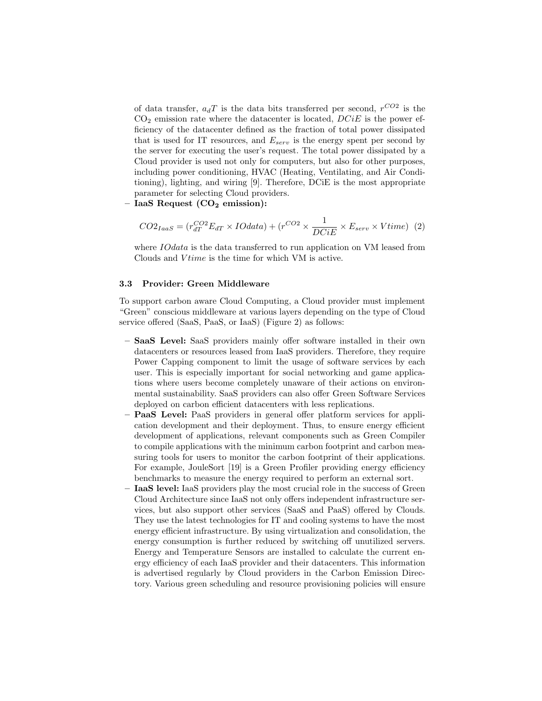of data transfer,  $a_dT$  is the data bits transferred per second,  $r^{CO2}$  is the  $CO<sub>2</sub>$  emission rate where the datacenter is located,  $DCiE$  is the power efficiency of the datacenter defined as the fraction of total power dissipated that is used for IT resources, and  $E_{serv}$  is the energy spent per second by the server for executing the user's request. The total power dissipated by a Cloud provider is used not only for computers, but also for other purposes, including power conditioning, HVAC (Heating, Ventilating, and Air Conditioning), lighting, and wiring [9]. Therefore, DCiE is the most appropriate parameter for selecting Cloud providers.

 $-$  IaaS Request (CO<sub>2</sub> emission):

$$
CO2_{IaaS} = (r_{dT}^{CO2}E_{dT} \times IOdata) + (r^{CO2} \times \frac{1}{DCiE} \times E_{serv} \times Vtime)
$$
 (2)

where  $IQdata$  is the data transferred to run application on VM leased from Clouds and  $Vtime$  is the time for which VM is active.

#### 3.3 Provider: Green Middleware

To support carbon aware Cloud Computing, a Cloud provider must implement "Green" conscious middleware at various layers depending on the type of Cloud service offered (SaaS, PaaS, or IaaS) (Figure 2) as follows:

- SaaS Level: SaaS providers mainly offer software installed in their own datacenters or resources leased from IaaS providers. Therefore, they require Power Capping component to limit the usage of software services by each user. This is especially important for social networking and game applications where users become completely unaware of their actions on environmental sustainability. SaaS providers can also offer Green Software Services deployed on carbon efficient datacenters with less replications.
- PaaS Level: PaaS providers in general offer platform services for application development and their deployment. Thus, to ensure energy efficient development of applications, relevant components such as Green Compiler to compile applications with the minimum carbon footprint and carbon measuring tools for users to monitor the carbon footprint of their applications. For example, JouleSort [19] is a Green Profiler providing energy efficiency benchmarks to measure the energy required to perform an external sort.
- IaaS level: IaaS providers play the most crucial role in the success of Green Cloud Architecture since IaaS not only offers independent infrastructure services, but also support other services (SaaS and PaaS) offered by Clouds. They use the latest technologies for IT and cooling systems to have the most energy efficient infrastructure. By using virtualization and consolidation, the energy consumption is further reduced by switching off unutilized servers. Energy and Temperature Sensors are installed to calculate the current energy efficiency of each IaaS provider and their datacenters. This information is advertised regularly by Cloud providers in the Carbon Emission Directory. Various green scheduling and resource provisioning policies will ensure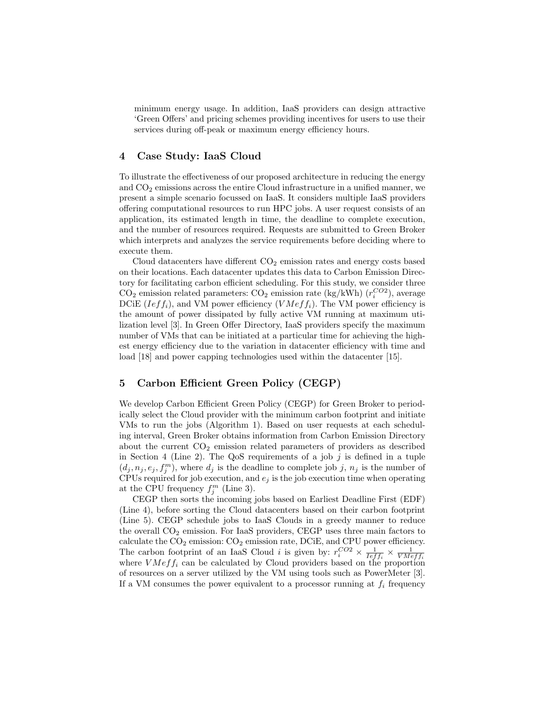minimum energy usage. In addition, IaaS providers can design attractive 'Green Offers' and pricing schemes providing incentives for users to use their services during off-peak or maximum energy efficiency hours.

## 4 Case Study: IaaS Cloud

To illustrate the effectiveness of our proposed architecture in reducing the energy and  $CO<sub>2</sub>$  emissions across the entire Cloud infrastructure in a unified manner, we present a simple scenario focussed on IaaS. It considers multiple IaaS providers offering computational resources to run HPC jobs. A user request consists of an application, its estimated length in time, the deadline to complete execution, and the number of resources required. Requests are submitted to Green Broker which interprets and analyzes the service requirements before deciding where to execute them.

Cloud datacenters have different  $CO<sub>2</sub>$  emission rates and energy costs based on their locations. Each datacenter updates this data to Carbon Emission Directory for facilitating carbon efficient scheduling. For this study, we consider three  $CO_2$  emission related parameters:  $CO_2$  emission rate (kg/kWh) ( $r_i^{CO2}$ ), average DCiE  $(Ref_i)$ , and VM power efficiency ( $VMeff_i$ ). The VM power efficiency is the amount of power dissipated by fully active VM running at maximum utilization level [3]. In Green Offer Directory, IaaS providers specify the maximum number of VMs that can be initiated at a particular time for achieving the highest energy efficiency due to the variation in datacenter efficiency with time and load [18] and power capping technologies used within the datacenter [15].

## 5 Carbon Efficient Green Policy (CEGP)

We develop Carbon Efficient Green Policy (CEGP) for Green Broker to periodically select the Cloud provider with the minimum carbon footprint and initiate VMs to run the jobs (Algorithm 1). Based on user requests at each scheduling interval, Green Broker obtains information from Carbon Emission Directory about the current  $CO<sub>2</sub>$  emission related parameters of providers as described in Section 4 (Line 2). The QoS requirements of a job  $j$  is defined in a tuple  $(d_j, n_j, e_j, f_j^m)$ , where  $d_j$  is the deadline to complete job j,  $n_j$  is the number of CPUs required for job execution, and  $e_j$  is the job execution time when operating at the CPU frequency  $f_j^m$  (Line 3).

CEGP then sorts the incoming jobs based on Earliest Deadline First (EDF) (Line 4), before sorting the Cloud datacenters based on their carbon footprint (Line 5). CEGP schedule jobs to IaaS Clouds in a greedy manner to reduce the overall  $CO<sub>2</sub>$  emission. For IaaS providers, CEGP uses three main factors to calculate the  $CO_2$  emission:  $CO_2$  emission rate, DCiE, and CPU power efficiency. The carbon footprint of an IaaS Cloud *i* is given by:  $r_i^{CO2} \times \frac{1}{Ieff_i} \times \frac{1}{VMeff_i}$ where  $VMeff_i$  can be calculated by Cloud providers based on the proportion of resources on a server utilized by the VM using tools such as PowerMeter [3]. If a VM consumes the power equivalent to a processor running at  $f_i$  frequency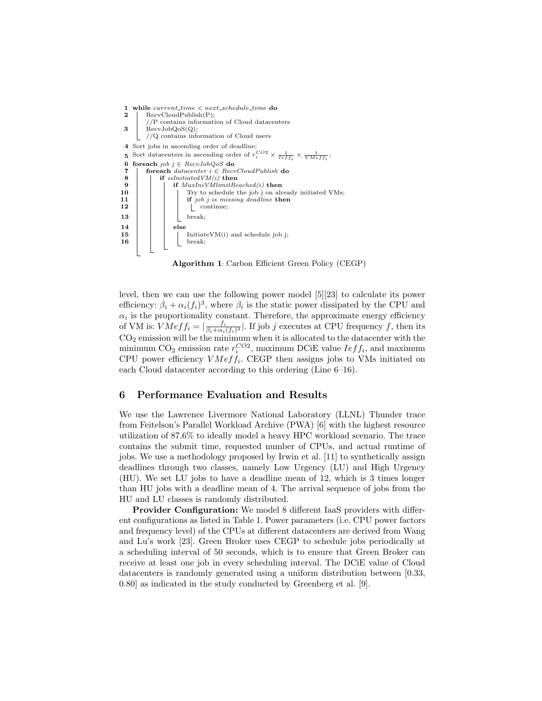

Algorithm 1: Carbon Efficient Green Policy (CEGP)

level, then we can use the following power model [5][23] to calculate its power efficiency:  $\beta_i + \alpha_i(f_i)^3$ , where  $\beta_i$  is the static power dissipated by the CPU and  $\alpha_i$  is the proportionality constant. Therefore, the approximate energy efficiency of VM is:  $VMeff_i = |\frac{f_i}{\beta_i + \alpha_i(f_i)^3}|$ . If job j executes at CPU frequency f, then its  $CO<sub>2</sub>$  emission will be the minimum when it is allocated to the datacenter with the minimum  $CO_2$  emission rate  $r_i^{CO2}$ , maximum DCiE value  $Ieff_i$ , and maximum CPU power efficiency  $VMeff_i$ . CEGP then assigns jobs to VMs initiated on each Cloud datacenter according to this ordering (Line 6–16).

#### 6 Performance Evaluation and Results

We use the Lawrence Livermore National Laboratory (LLNL) Thunder trace from Feitelson's Parallel Workload Archive (PWA) [6] with the highest resource utilization of 87.6% to ideally model a heavy HPC workload scenario. The trace contains the submit time, requested number of CPUs, and actual runtime of jobs. We use a methodology proposed by Irwin et al. [11] to synthetically assign deadlines through two classes, namely Low Urgency (LU) and High Urgency (HU). We set LU jobs to have a deadline mean of 12, which is 3 times longer than HU jobs with a deadline mean of 4. The arrival sequence of jobs from the HU and LU classes is randomly distributed.

Provider Configuration: We model 8 different IaaS providers with different configurations as listed in Table 1. Power parameters (i.e. CPU power factors and frequency level) of the CPUs at different datacenters are derived from Wang and Lu's work [23]. Green Broker uses CEGP to schedule jobs periodically at a scheduling interval of 50 seconds, which is to ensure that Green Broker can receive at least one job in every scheduling interval. The DCiE value of Cloud datacenters is randomly generated using a uniform distribution between [0.33, 0.80] as indicated in the study conducted by Greenberg et al. [9].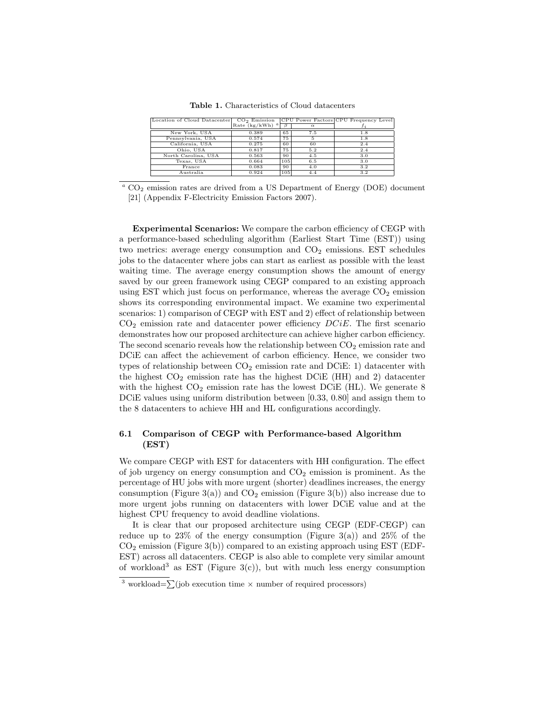| Location of Cloud Datacenter | $CO2$ Emission     |     |          | CPU Power Factors CPU Frequency Level |
|------------------------------|--------------------|-----|----------|---------------------------------------|
|                              | Rate (kg/kWh) $^a$ |     | $\alpha$ |                                       |
| New York, USA                | 0.389              | 65  | 7.5      | 1.8                                   |
| Pennsylvania, USA            | 0.574              | 75  | 5        | 1.8                                   |
| California, USA              | 0.275              | 60  | 60       | 2.4                                   |
| Ohio, USA                    | 0.817              | 75  | 5.2      | 2.4                                   |
| North Carolina, USA          | 0.563              | 90  | 4.5      | 3.0                                   |
| Texas, USA                   | 0.664              | 105 | 6.5      | 3.0                                   |
| France                       | 0.083              | 90  | 4.0      | 3.2                                   |
| Australia                    | 0.924              | 105 | 4.4      | 3.2                                   |

Table 1. Characteristics of Cloud datacenters

 $a$  CO<sub>2</sub> emission rates are drived from a US Department of Energy (DOE) document [21] (Appendix F-Electricity Emission Factors 2007).

Experimental Scenarios: We compare the carbon efficiency of CEGP with a performance-based scheduling algorithm (Earliest Start Time (EST)) using two metrics: average energy consumption and  $CO<sub>2</sub>$  emissions. EST schedules jobs to the datacenter where jobs can start as earliest as possible with the least waiting time. The average energy consumption shows the amount of energy saved by our green framework using CEGP compared to an existing approach using EST which just focus on performance, whereas the average  $CO<sub>2</sub>$  emission shows its corresponding environmental impact. We examine two experimental scenarios: 1) comparison of CEGP with EST and 2) effect of relationship between  $CO<sub>2</sub>$  emission rate and datacenter power efficiency  $DC_iE$ . The first scenario demonstrates how our proposed architecture can achieve higher carbon efficiency. The second scenario reveals how the relationship between  $CO<sub>2</sub>$  emission rate and DCiE can affect the achievement of carbon efficiency. Hence, we consider two types of relationship between  $CO<sub>2</sub>$  emission rate and DCiE: 1) datacenter with the highest  $CO<sub>2</sub>$  emission rate has the highest DCiE (HH) and 2) datacenter with the highest  $CO_2$  emission rate has the lowest DCiE (HL). We generate 8 DCiE values using uniform distribution between [0.33, 0.80] and assign them to the 8 datacenters to achieve HH and HL configurations accordingly.

## 6.1 Comparison of CEGP with Performance-based Algorithm (EST)

We compare CEGP with EST for datacenters with HH configuration. The effect of job urgency on energy consumption and  $CO<sub>2</sub>$  emission is prominent. As the percentage of HU jobs with more urgent (shorter) deadlines increases, the energy consumption (Figure 3(a)) and  $CO<sub>2</sub>$  emission (Figure 3(b)) also increase due to more urgent jobs running on datacenters with lower DCiE value and at the highest CPU frequency to avoid deadline violations.

It is clear that our proposed architecture using CEGP (EDF-CEGP) can reduce up to  $23\%$  of the energy consumption (Figure 3(a)) and  $25\%$  of the  $CO<sub>2</sub>$  emission (Figure 3(b)) compared to an existing approach using EST (EDF-EST) across all datacenters. CEGP is also able to complete very similar amount of workload<sup>3</sup> as EST (Figure 3(c)), but with much less energy consumption

<sup>&</sup>lt;sup>3</sup> workload= $\sum$ (job execution time × number of required processors)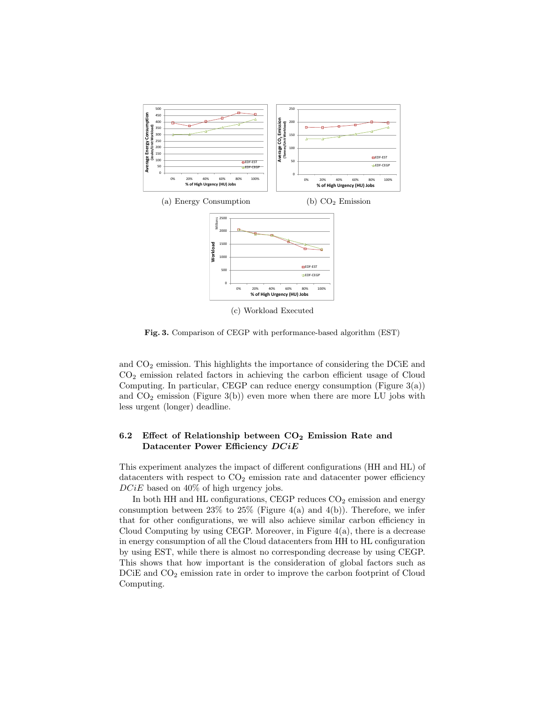

(c) Workload Executed

Fig. 3. Comparison of CEGP with performance-based algorithm (EST)

and  $CO<sub>2</sub>$  emission. This highlights the importance of considering the DCiE and CO<sup>2</sup> emission related factors in achieving the carbon efficient usage of Cloud Computing. In particular, CEGP can reduce energy consumption (Figure 3(a)) and  $CO<sub>2</sub>$  emission (Figure 3(b)) even more when there are more LU jobs with less urgent (longer) deadline.

## 6.2 Effect of Relationship between  $CO<sub>2</sub>$  Emission Rate and Datacenter Power Efficiency  $DCiE$

This experiment analyzes the impact of different configurations (HH and HL) of datacenters with respect to  $CO<sub>2</sub>$  emission rate and datacenter power efficiency  $D C i E$  based on 40% of high urgency jobs.

In both HH and HL configurations, CEGP reduces  $CO<sub>2</sub>$  emission and energy consumption between  $23\%$  to  $25\%$  (Figure 4(a) and 4(b)). Therefore, we infer that for other configurations, we will also achieve similar carbon efficiency in Cloud Computing by using CEGP. Moreover, in Figure 4(a), there is a decrease in energy consumption of all the Cloud datacenters from HH to HL configuration by using EST, while there is almost no corresponding decrease by using CEGP. This shows that how important is the consideration of global factors such as  $DCiE$  and  $CO<sub>2</sub>$  emission rate in order to improve the carbon footprint of Cloud Computing.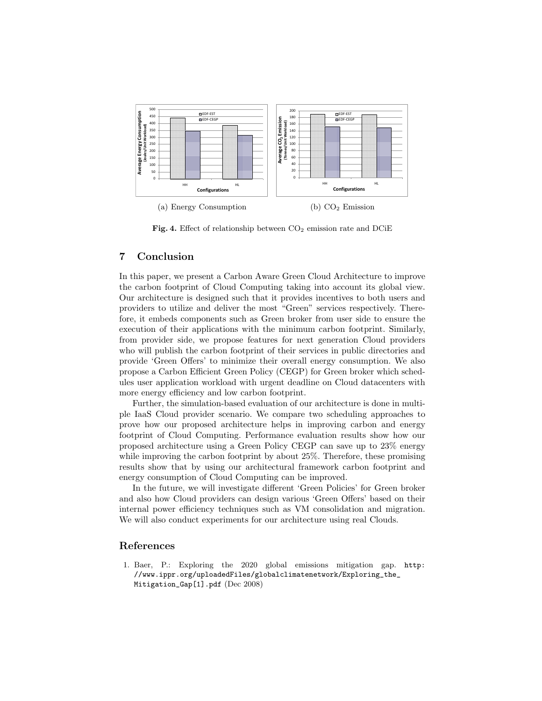

Fig. 4. Effect of relationship between  $CO<sub>2</sub>$  emission rate and DCiE

## 7 Conclusion

In this paper, we present a Carbon Aware Green Cloud Architecture to improve the carbon footprint of Cloud Computing taking into account its global view. Our architecture is designed such that it provides incentives to both users and providers to utilize and deliver the most "Green" services respectively. Therefore, it embeds components such as Green broker from user side to ensure the execution of their applications with the minimum carbon footprint. Similarly, from provider side, we propose features for next generation Cloud providers who will publish the carbon footprint of their services in public directories and provide 'Green Offers' to minimize their overall energy consumption. We also propose a Carbon Efficient Green Policy (CEGP) for Green broker which schedules user application workload with urgent deadline on Cloud datacenters with more energy efficiency and low carbon footprint.

Further, the simulation-based evaluation of our architecture is done in multiple IaaS Cloud provider scenario. We compare two scheduling approaches to prove how our proposed architecture helps in improving carbon and energy footprint of Cloud Computing. Performance evaluation results show how our proposed architecture using a Green Policy CEGP can save up to 23% energy while improving the carbon footprint by about 25%. Therefore, these promising results show that by using our architectural framework carbon footprint and energy consumption of Cloud Computing can be improved.

In the future, we will investigate different 'Green Policies' for Green broker and also how Cloud providers can design various 'Green Offers' based on their internal power efficiency techniques such as VM consolidation and migration. We will also conduct experiments for our architecture using real Clouds.

# References

1. Baer, P.: Exploring the 2020 global emissions mitigation gap. http: //www.ippr.org/uploadedFiles/globalclimatenetwork/Exploring\_the\_ Mitigation\_Gap[1].pdf (Dec 2008)